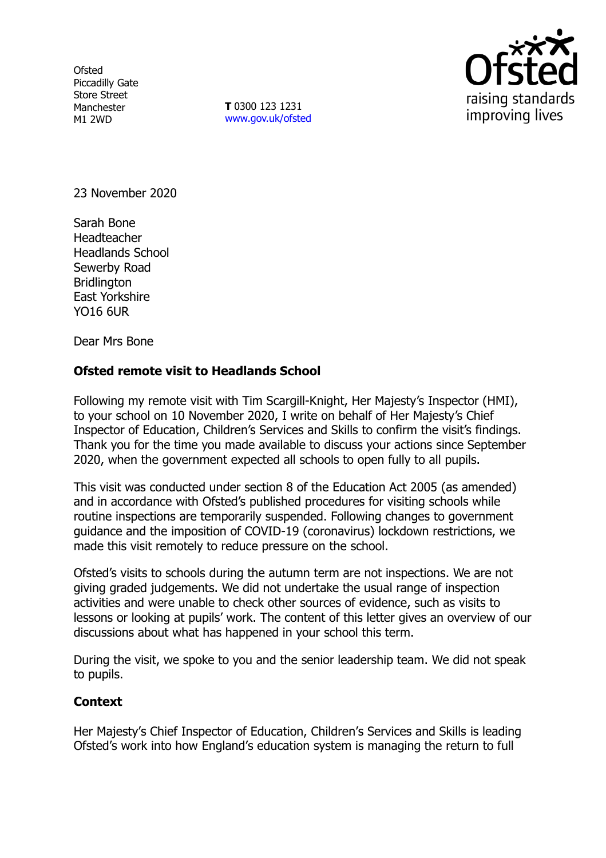**Ofsted** Piccadilly Gate Store Street Manchester M1 2WD

**T** 0300 123 1231 [www.gov.uk/ofsted](http://www.gov.uk/ofsted)



23 November 2020

Sarah Bone Headteacher Headlands School Sewerby Road **Bridlington** East Yorkshire YO16 6UR

Dear Mrs Bone

## **Ofsted remote visit to Headlands School**

Following my remote visit with Tim Scargill-Knight, Her Majesty's Inspector (HMI), to your school on 10 November 2020, I write on behalf of Her Majesty's Chief Inspector of Education, Children's Services and Skills to confirm the visit's findings. Thank you for the time you made available to discuss your actions since September 2020, when the government expected all schools to open fully to all pupils.

This visit was conducted under section 8 of the Education Act 2005 (as amended) and in accordance with Ofsted's published procedures for visiting schools while routine inspections are temporarily suspended. Following changes to government guidance and the imposition of COVID-19 (coronavirus) lockdown restrictions, we made this visit remotely to reduce pressure on the school.

Ofsted's visits to schools during the autumn term are not inspections. We are not giving graded judgements. We did not undertake the usual range of inspection activities and were unable to check other sources of evidence, such as visits to lessons or looking at pupils' work. The content of this letter gives an overview of our discussions about what has happened in your school this term.

During the visit, we spoke to you and the senior leadership team. We did not speak to pupils.

## **Context**

Her Majesty's Chief Inspector of Education, Children's Services and Skills is leading Ofsted's work into how England's education system is managing the return to full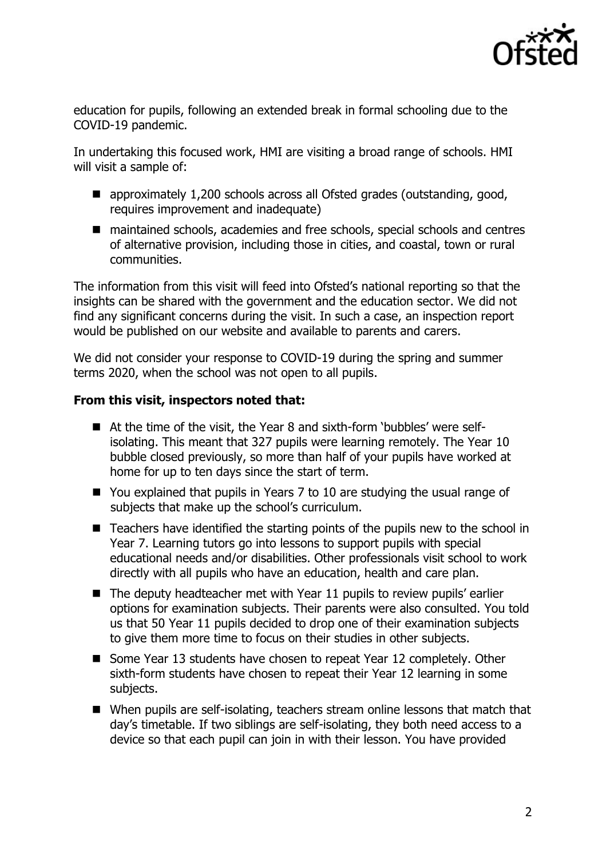

education for pupils, following an extended break in formal schooling due to the COVID-19 pandemic.

In undertaking this focused work, HMI are visiting a broad range of schools. HMI will visit a sample of:

- approximately 1,200 schools across all Ofsted grades (outstanding, good, requires improvement and inadequate)
- maintained schools, academies and free schools, special schools and centres of alternative provision, including those in cities, and coastal, town or rural communities.

The information from this visit will feed into Ofsted's national reporting so that the insights can be shared with the government and the education sector. We did not find any significant concerns during the visit. In such a case, an inspection report would be published on our website and available to parents and carers.

We did not consider your response to COVID-19 during the spring and summer terms 2020, when the school was not open to all pupils.

## **From this visit, inspectors noted that:**

- At the time of the visit, the Year 8 and sixth-form 'bubbles' were selfisolating. This meant that 327 pupils were learning remotely. The Year 10 bubble closed previously, so more than half of your pupils have worked at home for up to ten days since the start of term.
- You explained that pupils in Years 7 to 10 are studying the usual range of subjects that make up the school's curriculum.
- Teachers have identified the starting points of the pupils new to the school in Year 7. Learning tutors go into lessons to support pupils with special educational needs and/or disabilities. Other professionals visit school to work directly with all pupils who have an education, health and care plan.
- $\blacksquare$  The deputy headteacher met with Year 11 pupils to review pupils' earlier options for examination subjects. Their parents were also consulted. You told us that 50 Year 11 pupils decided to drop one of their examination subjects to give them more time to focus on their studies in other subjects.
- Some Year 13 students have chosen to repeat Year 12 completely. Other sixth-form students have chosen to repeat their Year 12 learning in some subjects.
- When pupils are self-isolating, teachers stream online lessons that match that day's timetable. If two siblings are self-isolating, they both need access to a device so that each pupil can join in with their lesson. You have provided